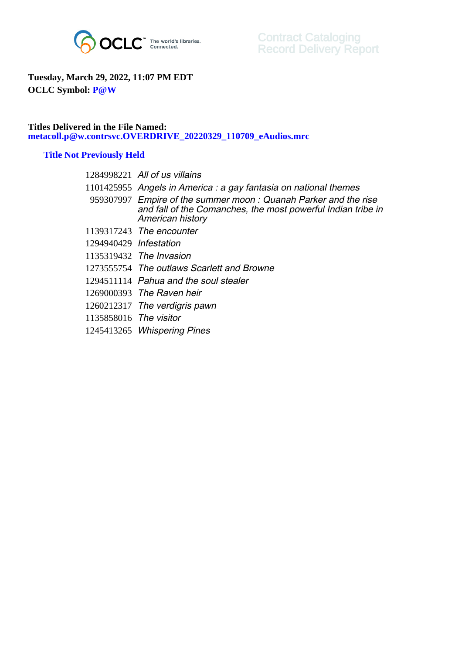

## **Tuesday, March 29, 2022, 11:07 PM EDT OCLC Symbol: P@W**

## **Titles Delivered in the File Named: metacoll.p@w.contrsvc.OVERDRIVE\_20220329\_110709\_eAudios.mrc**

## **Title Not Previously Held**

|                        | 1284998221 All of us villains                                                                                                                       |
|------------------------|-----------------------------------------------------------------------------------------------------------------------------------------------------|
|                        | 1101425955 Angels in America : a gay fantasia on national themes                                                                                    |
|                        | 959307997 Empire of the summer moon: Quanah Parker and the rise<br>and fall of the Comanches, the most powerful Indian tribe in<br>American history |
|                        | 1139317243 The encounter                                                                                                                            |
| 1294940429 Infestation |                                                                                                                                                     |
|                        | 1135319432 The Invasion                                                                                                                             |
|                        | 1273555754 The outlaws Scarlett and Browne                                                                                                          |
|                        | 1294511114 Pahua and the soul stealer                                                                                                               |
|                        | 1269000393 The Raven heir                                                                                                                           |
|                        | 1260212317 The verdigris pawn                                                                                                                       |
| 1135858016 The visitor |                                                                                                                                                     |
|                        | 1245413265 Whispering Pines                                                                                                                         |
|                        |                                                                                                                                                     |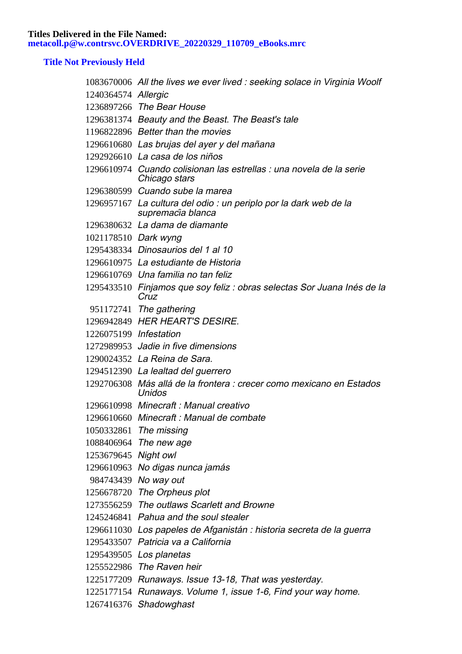## **Title Not Previously Held**

|                        | 1083670006 All the lives we ever lived: seeking solace in Virginia Woolf               |
|------------------------|----------------------------------------------------------------------------------------|
| 1240364574 Allergic    |                                                                                        |
|                        | 1236897266 The Bear House                                                              |
|                        | 1296381374 Beauty and the Beast. The Beast's tale                                      |
|                        | 1196822896 Better than the movies                                                      |
|                        | 1296610680 Las brujas del ayer y del mañana                                            |
|                        | 1292926610 La casa de los niños                                                        |
|                        | 1296610974 Cuando colisionan las estrellas : una novela de la serie<br>Chicago stars   |
|                        | 1296380599 Cuando sube la marea                                                        |
|                        | 1296957167 La cultura del odio : un periplo por la dark web de la<br>supremacia blanca |
|                        | 1296380632 La dama de diamante                                                         |
| 1021178510 Dark wyng   |                                                                                        |
|                        | 1295438334 Dinosaurios del 1 al 10                                                     |
|                        | 1296610975 La estudiante de Historia                                                   |
|                        | 1296610769 Una familia no tan feliz                                                    |
|                        | 1295433510 Finjamos que soy feliz : obras selectas Sor Juana Inés de la<br>Cruz        |
|                        | 951172741 The gathering                                                                |
|                        | 1296942849 HER HEART'S DESIRE.                                                         |
| 1226075199 Infestation |                                                                                        |
|                        | 1272989953 Jadie in five dimensions                                                    |
|                        | 1290024352 La Reina de Sara.                                                           |
|                        | 1294512390 La lealtad del guerrero                                                     |
|                        | 1292706308 Más allá de la frontera : crecer como mexicano en Estados<br>Unidos         |
|                        | 1296610998 Minecraft: Manual creativo                                                  |
|                        | 1296610660 Minecraft: Manual de combate                                                |
|                        | 1050332861 The missing                                                                 |
|                        | 1088406964 The new age                                                                 |
| 1253679645 Night owl   |                                                                                        |
|                        | 1296610963 No digas nunca jamás                                                        |
|                        | 984743439 No way out                                                                   |
|                        | 1256678720 The Orpheus plot                                                            |
|                        | 1273556259 The outlaws Scarlett and Browne                                             |
|                        | 1245246841 Pahua and the soul stealer                                                  |
|                        | 1296611030 Los papeles de Afganistán : historia secreta de la guerra                   |
|                        | 1295433507 Patricia va a California                                                    |
|                        | 1295439505 Los planetas                                                                |
|                        | 1255522986 The Raven heir                                                              |
|                        | 1225177209 Runaways. Issue 13-18, That was yesterday.                                  |
|                        | 1225177154 Runaways. Volume 1, issue 1-6, Find your way home.                          |
|                        | 1267416376 Shadowghast                                                                 |
|                        |                                                                                        |